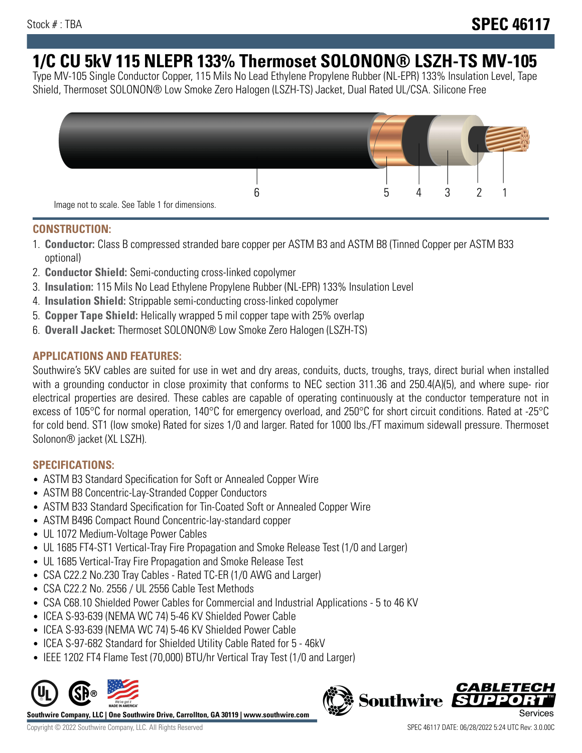# **1/C CU 5kV 115 NLEPR 133% Thermoset SOLONON® LSZH-TS MV-105**

Type MV-105 Single Conductor Copper, 115 Mils No Lead Ethylene Propylene Rubber (NL-EPR) 133% Insulation Level, Tape Shield, Thermoset SOLONON® Low Smoke Zero Halogen (LSZH-TS) Jacket, Dual Rated UL/CSA. Silicone Free



#### **CONSTRUCTION:**

- 1. **Conductor:** Class B compressed stranded bare copper per ASTM B3 and ASTM B8 (Tinned Copper per ASTM B33 optional)
- 2. **Conductor Shield:** Semi-conducting cross-linked copolymer
- 3. **Insulation:** 115 Mils No Lead Ethylene Propylene Rubber (NL-EPR) 133% Insulation Level
- 4. **Insulation Shield:** Strippable semi-conducting cross-linked copolymer
- 5. **Copper Tape Shield:** Helically wrapped 5 mil copper tape with 25% overlap
- 6. **Overall Jacket:** Thermoset SOLONON® Low Smoke Zero Halogen (LSZH-TS)

## **APPLICATIONS AND FEATURES:**

Southwire's 5KV cables are suited for use in wet and dry areas, conduits, ducts, troughs, trays, direct burial when installed with a grounding conductor in close proximity that conforms to NEC section 311.36 and 250.4(A)(5), and where supe- rior electrical properties are desired. These cables are capable of operating continuously at the conductor temperature not in excess of 105°C for normal operation, 140°C for emergency overload, and 250°C for short circuit conditions. Rated at -25°C for cold bend. ST1 (low smoke) Rated for sizes 1/0 and larger. Rated for 1000 lbs./FT maximum sidewall pressure. Thermoset Solonon® jacket (XL LSZH).

## **SPECIFICATIONS:**

- ASTM B3 Standard Specification for Soft or Annealed Copper Wire
- ASTM B8 Concentric-Lay-Stranded Copper Conductors
- ASTM B33 Standard Specification for Tin-Coated Soft or Annealed Copper Wire
- ASTM B496 Compact Round Concentric-lay-standard copper
- UL 1072 Medium-Voltage Power Cables
- UL 1685 FT4-ST1 Vertical-Tray Fire Propagation and Smoke Release Test (1/0 and Larger)
- UL 1685 Vertical-Tray Fire Propagation and Smoke Release Test
- CSA C22.2 No.230 Tray Cables Rated TC-ER (1/0 AWG and Larger)
- CSA C22.2 No. 2556 / UL 2556 Cable Test Methods
- CSA C68.10 Shielded Power Cables for Commercial and Industrial Applications 5 to 46 KV
- ICEA S-93-639 (NEMA WC 74) 5-46 KV Shielded Power Cable
- ICEA S-93-639 (NEMA WC 74) 5-46 KV Shielded Power Cable
- ICEA S-97-682 Standard for Shielded Utility Cable Rated for 5 46kV
- IEEE 1202 FT4 Flame Test (70,000) BTU/hr Vertical Tray Test (1/0 and Larger)



**Southwire Company, LLC | One Southwire Drive, Carrollton, GA 30119 | www.southwire.com**